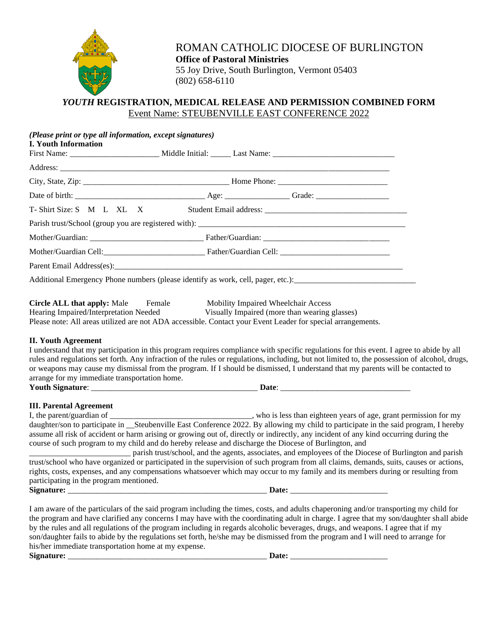

ROMAN CATHOLIC DIOCESE OF BURLINGTON **Office of Pastoral Ministries** 55 Joy Drive, South Burlington, Vermont 05403 (802) 658-6110

## *YOUTH* **REGISTRATION, MEDICAL RELEASE AND PERMISSION COMBINED FORM** Event Name: STEUBENVILLE EAST CONFERENCE 2022

| (Please print or type all information, except signatures)<br><b>I. Youth Information</b> |                                                                                                                                                                                                                                                                                                                                                                                                                                                                                                                                                                   |  |
|------------------------------------------------------------------------------------------|-------------------------------------------------------------------------------------------------------------------------------------------------------------------------------------------------------------------------------------------------------------------------------------------------------------------------------------------------------------------------------------------------------------------------------------------------------------------------------------------------------------------------------------------------------------------|--|
|                                                                                          |                                                                                                                                                                                                                                                                                                                                                                                                                                                                                                                                                                   |  |
|                                                                                          |                                                                                                                                                                                                                                                                                                                                                                                                                                                                                                                                                                   |  |
|                                                                                          |                                                                                                                                                                                                                                                                                                                                                                                                                                                                                                                                                                   |  |
|                                                                                          |                                                                                                                                                                                                                                                                                                                                                                                                                                                                                                                                                                   |  |
|                                                                                          | T-Shirt Size: S M L XL X Student Email address: ________________________________                                                                                                                                                                                                                                                                                                                                                                                                                                                                                  |  |
|                                                                                          |                                                                                                                                                                                                                                                                                                                                                                                                                                                                                                                                                                   |  |
|                                                                                          |                                                                                                                                                                                                                                                                                                                                                                                                                                                                                                                                                                   |  |
|                                                                                          |                                                                                                                                                                                                                                                                                                                                                                                                                                                                                                                                                                   |  |
|                                                                                          |                                                                                                                                                                                                                                                                                                                                                                                                                                                                                                                                                                   |  |
|                                                                                          |                                                                                                                                                                                                                                                                                                                                                                                                                                                                                                                                                                   |  |
|                                                                                          | Circle ALL that apply: Male Female Mobility Impaired Wheelchair Access<br>Hearing Impaired/Interpretation Needed Visually Impaired (more than wearing glasses)<br>Please note: All areas utilized are not ADA accessible. Contact your Event Leader for special arrangements.                                                                                                                                                                                                                                                                                     |  |
| arrange for my immediate transportation home.                                            | I understand that my participation in this program requires compliance with specific regulations for this event. I agree to abide by all<br>rules and regulations set forth. Any infraction of the rules or regulations, including, but not limited to, the possession of alcohol, drugs,<br>or weapons may cause my dismissal from the program. If I should be dismissed, I understand that my parents will be contacted to                                                                                                                                      |  |
| <b>III. Parental Agreement</b>                                                           |                                                                                                                                                                                                                                                                                                                                                                                                                                                                                                                                                                   |  |
|                                                                                          | who is less than eighteen years of age, grant permission for my<br>daughter/son to participate in __Steubenville East Conference 2022. By allowing my child to participate in the said program, I hereby<br>assume all risk of accident or harm arising or growing out of, directly or indirectly, any incident of any kind occurring during the<br>course of such program to my child and do hereby release and discharge the Diocese of Burlington, and                                                                                                         |  |
| participating in the program mentioned.                                                  | parish trust/school, and the agents, associates, and employees of the Diocese of Burlington and parish<br>trust/school who have organized or participated in the supervision of such program from all claims, demands, suits, causes or actions,<br>rights, costs, expenses, and any compensations whatsoever which may occur to my family and its members during or resulting from                                                                                                                                                                               |  |
| Signature:                                                                               | Date:                                                                                                                                                                                                                                                                                                                                                                                                                                                                                                                                                             |  |
| his/her immediate transportation home at my expense.<br>Signature:                       | I am aware of the particulars of the said program including the times, costs, and adults chaperoning and/or transporting my child for<br>the program and have clarified any concerns I may have with the coordinating adult in charge. I agree that my son/daughter shall abide<br>by the rules and all regulations of the program including in regards alcoholic beverages, drugs, and weapons. I agree that if my<br>son/daughter fails to abide by the regulations set forth, he/she may be dismissed from the program and I will need to arrange for<br>Date: |  |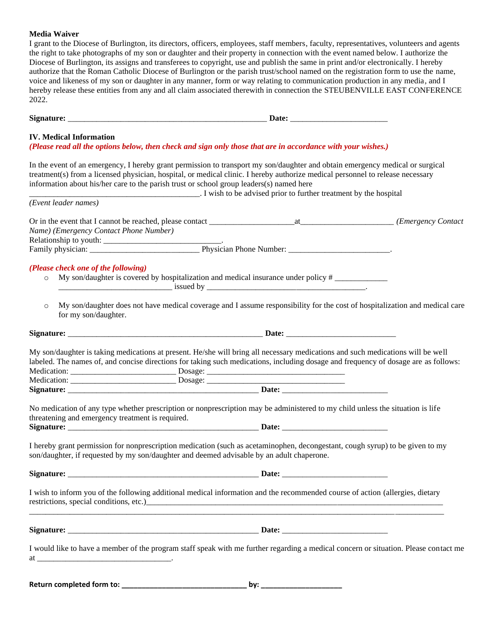## **Media Waiver**

I grant to the Diocese of Burlington, its directors, officers, employees, staff members, faculty, representatives, volunteers and agents the right to take photographs of my son or daughter and their property in connection with the event named below. I authorize the Diocese of Burlington, its assigns and transferees to copyright, use and publish the same in print and/or electronically. I hereby authorize that the Roman Catholic Diocese of Burlington or the parish trust/school named on the registration form to use the name, voice and likeness of my son or daughter in any manner, form or way relating to communication production in any media, and I hereby release these entities from any and all claim associated therewith in connection the STEUBENVILLE EAST CONFERENCE 2022.

| <b>IV. Medical Information</b>                                                            | (Please read all the options below, then check and sign only those that are in accordance with your wishes.)                                                                                                                                                                                                                                                                                                                                                                                                       |  |
|-------------------------------------------------------------------------------------------|--------------------------------------------------------------------------------------------------------------------------------------------------------------------------------------------------------------------------------------------------------------------------------------------------------------------------------------------------------------------------------------------------------------------------------------------------------------------------------------------------------------------|--|
| information about his/her care to the parish trust or school group leaders(s) named here  | In the event of an emergency, I hereby grant permission to transport my son/daughter and obtain emergency medical or surgical<br>treatment(s) from a licensed physician, hospital, or medical clinic. I hereby authorize medical personnel to release necessary<br>. I wish to be advised prior to further treatment by the hospital                                                                                                                                                                               |  |
| (Event leader names)                                                                      |                                                                                                                                                                                                                                                                                                                                                                                                                                                                                                                    |  |
| Name) (Emergency Contact Phone Number)                                                    |                                                                                                                                                                                                                                                                                                                                                                                                                                                                                                                    |  |
| (Please check one of the following)<br>$\circ$<br>$\circ$                                 | My son/daughter is covered by hospitalization and medical insurance under policy #<br>$\frac{1}{2}$ issued by $\frac{1}{2}$ issued by $\frac{1}{2}$ issued by $\frac{1}{2}$ is $\frac{1}{2}$ is $\frac{1}{2}$ is $\frac{1}{2}$ is $\frac{1}{2}$ is $\frac{1}{2}$ is $\frac{1}{2}$ is $\frac{1}{2}$ is $\frac{1}{2}$ is $\frac{1}{2}$ is $\frac{1}{2}$ is $\frac{1}{2}$ is $\frac{1$<br>My son/daughter does not have medical coverage and I assume responsibility for the cost of hospitalization and medical care |  |
| for my son/daughter.                                                                      |                                                                                                                                                                                                                                                                                                                                                                                                                                                                                                                    |  |
|                                                                                           | My son/daughter is taking medications at present. He/she will bring all necessary medications and such medications will be well<br>labeled. The names of, and concise directions for taking such medications, including dosage and frequency of dosage are as follows:                                                                                                                                                                                                                                             |  |
|                                                                                           |                                                                                                                                                                                                                                                                                                                                                                                                                                                                                                                    |  |
|                                                                                           |                                                                                                                                                                                                                                                                                                                                                                                                                                                                                                                    |  |
| threatening and emergency treatment is required.                                          | No medication of any type whether prescription or nonprescription may be administered to my child unless the situation is life                                                                                                                                                                                                                                                                                                                                                                                     |  |
| son/daughter, if requested by my son/daughter and deemed advisable by an adult chaperone. | I hereby grant permission for nonprescription medication (such as acetaminophen, decongestant, cough syrup) to be given to my                                                                                                                                                                                                                                                                                                                                                                                      |  |
|                                                                                           |                                                                                                                                                                                                                                                                                                                                                                                                                                                                                                                    |  |
|                                                                                           | I wish to inform you of the following additional medical information and the recommended course of action (allergies, dietary<br>restrictions, special conditions, etc.) CONSERVING CONSERVATION CONSERVED BY AN ALGORITHM CONSERVED BY A CONSERVED BY A CONSERVED BY A CONSERVED BY A CONSERVED BY A CONSERVED BY A CONSERVED BY A CONSERVED BY A CONSERVED BY                                                                                                                                                    |  |
|                                                                                           |                                                                                                                                                                                                                                                                                                                                                                                                                                                                                                                    |  |
| at                                                                                        | I would like to have a member of the program staff speak with me further regarding a medical concern or situation. Please contact me                                                                                                                                                                                                                                                                                                                                                                               |  |

**Return completed form to: \_\_\_\_\_\_\_\_\_\_\_\_\_\_\_\_\_\_\_\_\_\_\_\_\_\_\_\_\_\_\_ by: \_\_\_\_\_\_\_\_\_\_\_\_\_\_\_\_\_\_\_\_**